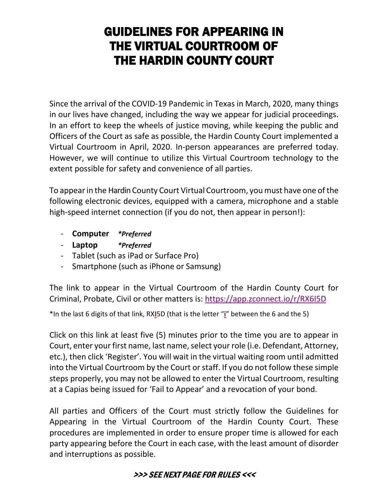## GUIDELINES FOR APPEARING IN THE VIRTUAL COURTROOM OF THE HARDIN COUNTY COURT

Since the arrival of the COVID-19 Pandemic in Texas in March, 2020, many things in our lives have changed, including the way we appear for judicial proceedings. In an effort to keep the wheels of justice moving, while keeping the public and Officers of the Court as safe as possible, the Hardin County Court implemented a Virtual Courtroom in April, 2020. In-person appearances are preferred today. However, we will continue to utilize this Virtual Courtroom technology to the extent possible for safety and convenience of all parties.

To appearin the Hardin County Court Virtual Courtroom, youmust have one ofthe following electronic devices, equipped with a camera, microphone and a stable high-speed internet connection (if you do not, then appear in person!):

- **Computer** *\*Preferred*
- **Laptop** *\*Preferred*
- Tablet (such as iPad or Surface Pro)
- Smartphone (such as iPhone or Samsung)

The link to appear in the Virtual Courtroom of the Hardin County Court for Criminal, Probate, Civil or other matters is:<https://app.zconnect.io/r/RX6I5D>

\*In the last 6 digits of that link, RX**I**5D (that is the letter "**i**" between the 6 and the 5)

Click on this link at least five (5) minutes prior to the time you are to appear in Court, enter your first name, last name, select your role (i.e. Defendant, Attorney, etc.), then click 'Register'. You will wait in the virtual waiting room until admitted into the Virtual Courtroom by the Court or staff. If you do not follow these simple steps properly, you may not be allowed to enter the Virtual Courtroom, resulting at a Capias being issued for 'Fail to Appear' and a revocation of your bond.

All parties and Officers of the Court must strictly follow the Guidelines for Appearing in the Virtual Courtroom of the Hardin County Court. These procedures are implemented in order to ensure proper time is allowed for each party appearing before the Court in each case, with the least amount of disorder and interruptions as possible.

## >>> SEE NEXT PAGE FOR RULES <<<